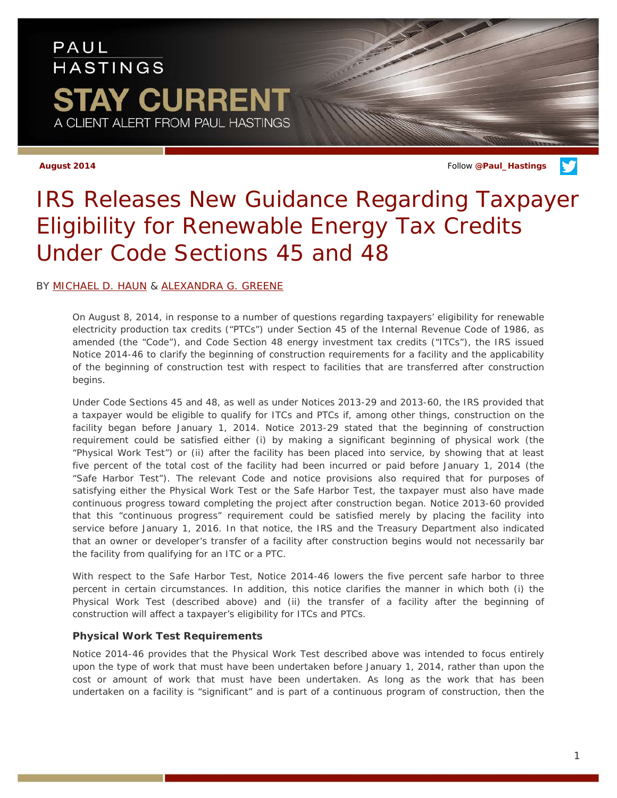# PAUL **HASTINGS** TAY CURRENT A CLIENT ALERT FROM PAUL HASTINGS

**August 2014** Follow **[@Paul\\_Hastings](http://twitter.com/Paul_Hastings)**

# *IRS Releases New Guidance Regarding Taxpayer Eligibility for Renewable Energy Tax Credits Under Code Sections 45 and 48*

### BY [MICHAEL D. HAUN](http://www.paulhastings.com/Professionals/details/michaelhaun/) & [ALEXANDRA G. GREENE](http://www.paulhastings.com/Professionals/details/alexandragreene/)

On August 8, 2014, in response to a number of questions regarding taxpayers' eligibility for renewable electricity production tax credits ("PTCs") under Section 45 of the Internal Revenue Code of 1986, as amended (the "Code"), and Code Section 48 energy investment tax credits ("ITCs"), the IRS issued Notice 2014-46 to clarify the beginning of construction requirements for a facility and the applicability of the beginning of construction test with respect to facilities that are transferred after construction begins.

Under Code Sections 45 and 48, as well as under Notices 2013-29 and 2013-60, the IRS provided that a taxpayer would be eligible to qualify for ITCs and PTCs if, among other things, construction on the facility began before January 1, 2014. Notice 2013-29 stated that the beginning of construction requirement could be satisfied either (i) by making a significant beginning of physical work (the "Physical Work Test") or (ii) after the facility has been placed into service, by showing that at least five percent of the total cost of the facility had been incurred or paid before January 1, 2014 (the "Safe Harbor Test"). The relevant Code and notice provisions also required that for purposes of satisfying either the Physical Work Test or the Safe Harbor Test, the taxpayer must also have made continuous progress toward completing the project after construction began. Notice 2013-60 provided that this "continuous progress" requirement could be satisfied merely by placing the facility into service before January 1, 2016. In that notice, the IRS and the Treasury Department also indicated that an owner or developer's transfer of a facility after construction begins would not necessarily bar the facility from qualifying for an ITC or a PTC.

With respect to the Safe Harbor Test, Notice 2014-46 lowers the five percent safe harbor to three percent in certain circumstances. In addition, this notice clarifies the manner in which both (i) the Physical Work Test (described above) and (ii) the transfer of a facility after the beginning of construction will affect a taxpayer's eligibility for ITCs and PTCs.

#### **Physical Work Test Requirements**

Notice 2014-46 provides that the Physical Work Test described above was intended to focus entirely upon the type of work that must have been undertaken before January 1, 2014, rather than upon the cost or amount of work that must have been undertaken. As long as the work that has been undertaken on a facility is "significant" and is part of a continuous program of construction, then the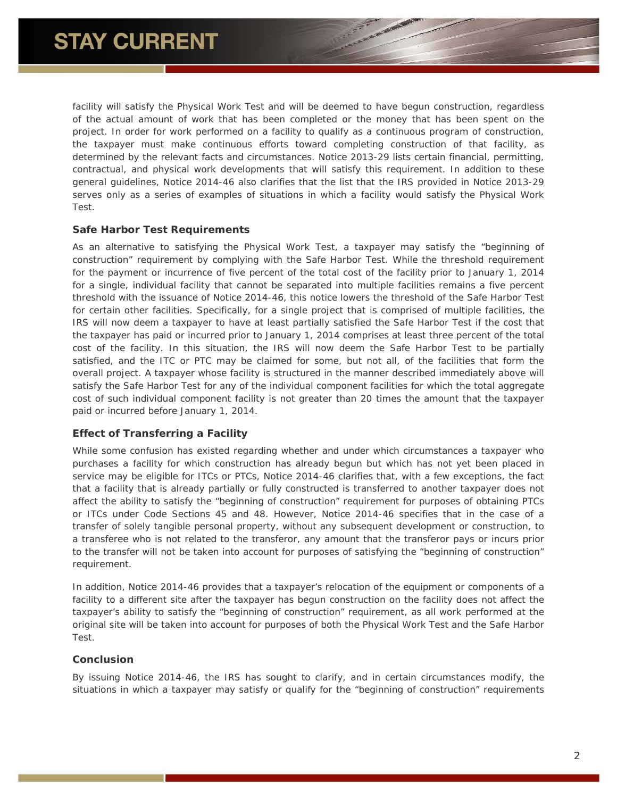facility will satisfy the Physical Work Test and will be deemed to have begun construction, regardless of the actual amount of work that has been completed or the money that has been spent on the project. In order for work performed on a facility to qualify as a continuous program of construction, the taxpayer must make continuous efforts toward completing construction of that facility, as determined by the relevant facts and circumstances. Notice 2013-29 lists certain financial, permitting, contractual, and physical work developments that will satisfy this requirement. In addition to these general guidelines, Notice 2014-46 also clarifies that the list that the IRS provided in Notice 2013-29 serves only as a series of examples of situations in which a facility would satisfy the Physical Work Test.

#### **Safe Harbor Test Requirements**

As an alternative to satisfying the Physical Work Test, a taxpayer may satisfy the "beginning of construction" requirement by complying with the Safe Harbor Test. While the threshold requirement for the payment or incurrence of five percent of the total cost of the facility prior to January 1, 2014 for a single, individual facility that cannot be separated into multiple facilities remains a five percent threshold with the issuance of Notice 2014-46, this notice lowers the threshold of the Safe Harbor Test for certain other facilities. Specifically, for a single project that is comprised of multiple facilities, the IRS will now deem a taxpayer to have at least partially satisfied the Safe Harbor Test if the cost that the taxpayer has paid or incurred prior to January 1, 2014 comprises at least three percent of the total cost of the facility. In this situation, the IRS will now deem the Safe Harbor Test to be partially satisfied, and the ITC or PTC may be claimed for some, but not all, of the facilities that form the overall project. A taxpayer whose facility is structured in the manner described immediately above will satisfy the Safe Harbor Test for any of the individual component facilities for which the total aggregate cost of such individual component facility is not greater than 20 times the amount that the taxpayer paid or incurred before January 1, 2014.

#### **Effect of Transferring a Facility**

While some confusion has existed regarding whether and under which circumstances a taxpayer who purchases a facility for which construction has already begun but which has not yet been placed in service may be eligible for ITCs or PTCs, Notice 2014-46 clarifies that, with a few exceptions, the fact that a facility that is already partially or fully constructed is transferred to another taxpayer does not affect the ability to satisfy the "beginning of construction" requirement for purposes of obtaining PTCs or ITCs under Code Sections 45 and 48. However, Notice 2014-46 specifies that in the case of a transfer of solely tangible personal property, without any subsequent development or construction, to a transferee who is not related to the transferor, any amount that the transferor pays or incurs prior to the transfer will not be taken into account for purposes of satisfying the "beginning of construction" requirement.

In addition, Notice 2014-46 provides that a taxpayer's relocation of the equipment or components of a facility to a different site after the taxpayer has begun construction on the facility does not affect the taxpayer's ability to satisfy the "beginning of construction" requirement, as all work performed at the original site will be taken into account for purposes of both the Physical Work Test and the Safe Harbor Test.

#### **Conclusion**

By issuing Notice 2014-46, the IRS has sought to clarify, and in certain circumstances modify, the situations in which a taxpayer may satisfy or qualify for the "beginning of construction" requirements